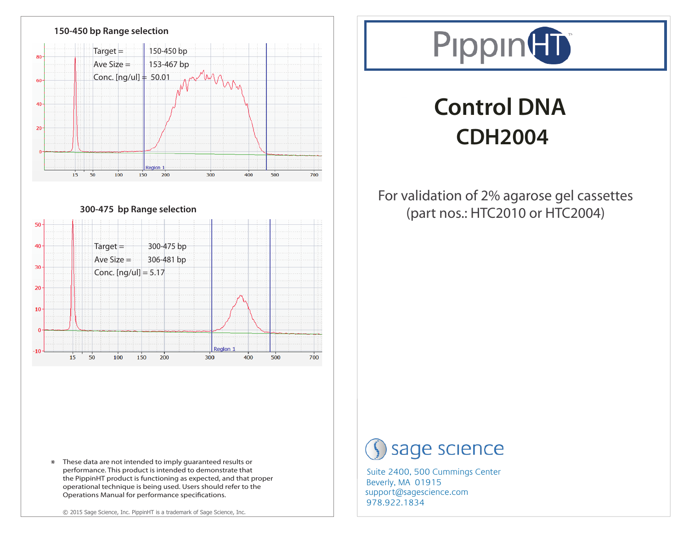





# **Control DNA CDH2004**

### For validation of 2% agarose gel cassettes (part nos.: HTC2010 or HTC2004)

## sage science

978.922.1834 support@sagescience.com Suite 2400, 500 Cummings Center Beverly, MA 01915